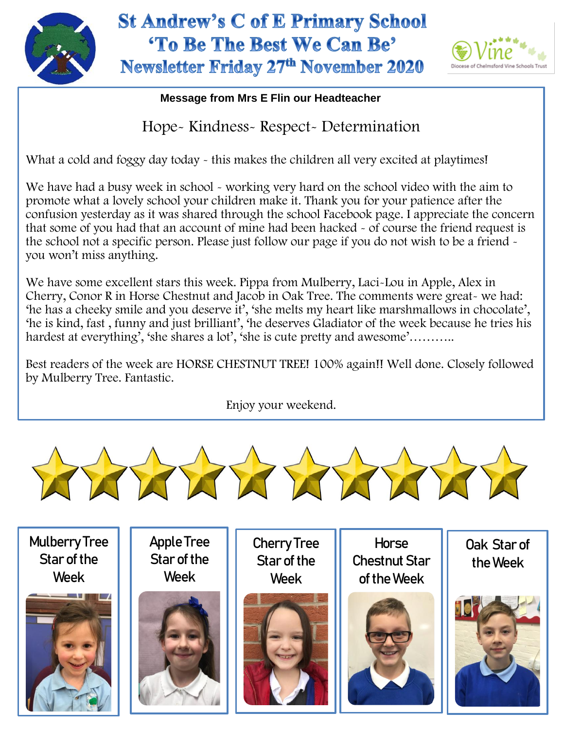

## **St Andrew's C of E Primary School** 'To Be The Best We Can Be' Newsletter Friday 27th November 2020



## **Message from Mrs E Flin our Headteacher**

Hope- Kindness- Respect- Determination

What a cold and foggy day today - this makes the children all very excited at playtimes!

We have had a busy week in school - working very hard on the school video with the aim to promote what a lovely school your children make it. Thank you for your patience after the confusion yesterday as it was shared through the school Facebook page. I appreciate the concern that some of you had that an account of mine had been hacked - of course the friend request is the school not a specific person. Please just follow our page if you do not wish to be a friend you won't miss anything.

 hardest at everything', 'she shares a lot', 'she is cute pretty and awesome'……….. We have some excellent stars this week. Pippa from Mulberry, Laci-Lou in Apple, Alex in Cherry, Conor R in Horse Chestnut and Jacob in Oak Tree. The comments were great- we had: 'he has a cheeky smile and you deserve it', 'she melts my heart like marshmallows in chocolate', 'he is kind, fast , funny and just brilliant', 'he deserves Gladiator of the week because he tries his

Best readers of the week are HORSE CHESTNUT TREE! 100% again!! Well done. Closely followed by Mulberry Tree. Fantastic.

Enjoy your weekend.